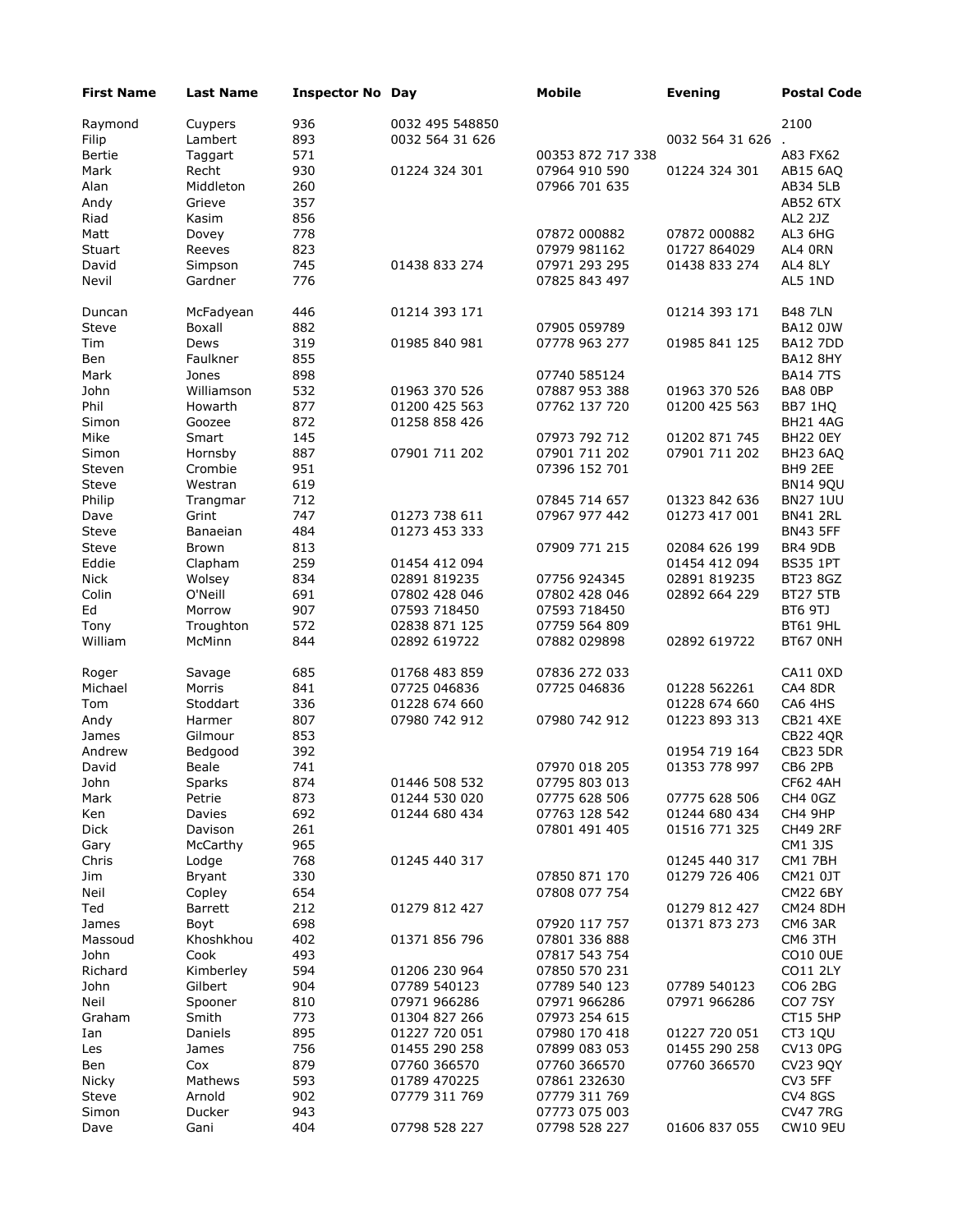| <b>First Name</b> | <b>Last Name</b> | <b>Inspector No Day</b> |                 | <b>Mobile</b>     | <b>Evening</b>    | <b>Postal Code</b> |
|-------------------|------------------|-------------------------|-----------------|-------------------|-------------------|--------------------|
| Raymond           | Cuypers          | 936                     | 0032 495 548850 |                   |                   | 2100               |
| Filip             | Lambert          | 893                     | 0032 564 31 626 |                   | 0032 564 31 626 . |                    |
| Bertie            | Taggart          | 571                     |                 | 00353 872 717 338 |                   | A83 FX62           |
| Mark              | Recht            | 930                     | 01224 324 301   | 07964 910 590     | 01224 324 301     | AB15 6AQ           |
| Alan              | Middleton        | 260                     |                 | 07966 701 635     |                   | AB34 5LB           |
| Andy              | Grieve           | 357                     |                 |                   |                   | AB52 6TX           |
| Riad              | Kasim            | 856                     |                 |                   |                   | AL2 2JZ            |
| Matt              | Dovey            | 778                     |                 | 07872 000882      | 07872 000882      | AL3 6HG            |
| Stuart            | Reeves           | 823                     |                 | 07979 981162      | 01727 864029      | AL4 ORN            |
|                   |                  |                         |                 |                   |                   | AL4 8LY            |
| David             | Simpson          | 745                     | 01438 833 274   | 07971 293 295     | 01438 833 274     |                    |
| Nevil             | Gardner          | 776                     |                 | 07825 843 497     |                   | AL5 1ND            |
| Duncan            | McFadyean        | 446                     | 01214 393 171   |                   | 01214 393 171     | <b>B48 7LN</b>     |
| Steve             | Boxall           | 882                     |                 | 07905 059789      |                   | <b>BA12 0JW</b>    |
| Tim               | Dews             | 319                     | 01985 840 981   | 07778 963 277     | 01985 841 125     | <b>BA12 7DD</b>    |
| Ben               | Faulkner         | 855                     |                 |                   |                   | <b>BA12 8HY</b>    |
| Mark              | Jones            | 898                     |                 | 07740 585124      |                   | <b>BA14 7TS</b>    |
| John              | Williamson       | 532                     | 01963 370 526   | 07887 953 388     | 01963 370 526     | BA8 0BP            |
| Phil              | Howarth          | 877                     | 01200 425 563   | 07762 137 720     | 01200 425 563     | BB7 1HO            |
| Simon             | Goozee           | 872                     | 01258 858 426   |                   |                   | <b>BH21 4AG</b>    |
| Mike              | Smart            | 145                     |                 | 07973 792 712     | 01202 871 745     | BH22 0EY           |
|                   |                  |                         |                 |                   |                   |                    |
| Simon             | Hornsby          | 887                     | 07901 711 202   | 07901 711 202     | 07901 711 202     | <b>BH23 6AQ</b>    |
| Steven            | Crombie          | 951                     |                 | 07396 152 701     |                   | BH9 2EE            |
| Steve             | Westran          | 619                     |                 |                   |                   | <b>BN14 9QU</b>    |
| Philip            | Trangmar         | 712                     |                 | 07845 714 657     | 01323 842 636     | <b>BN27 1UU</b>    |
| Dave              | Grint            | 747                     | 01273 738 611   | 07967 977 442     | 01273 417 001     | <b>BN41 2RL</b>    |
| Steve             | <b>Banaeian</b>  | 484                     | 01273 453 333   |                   |                   | <b>BN43 5FF</b>    |
| Steve             | Brown            | 813                     |                 | 07909 771 215     | 02084 626 199     | BR4 9DB            |
| Eddie             | Clapham          | 259                     | 01454 412 094   |                   | 01454 412 094     | <b>BS35 1PT</b>    |
| <b>Nick</b>       | Wolsey           | 834                     | 02891 819235    | 07756 924345      | 02891 819235      | BT23 8GZ           |
| Colin             | O'Neill          | 691                     | 07802 428 046   | 07802 428 046     | 02892 664 229     | <b>BT27 5TB</b>    |
| Ed                | Morrow           | 907                     | 07593 718450    | 07593 718450      |                   | <b>BT6 9TJ</b>     |
| Tony              | Troughton        | 572                     | 02838 871 125   | 07759 564 809     |                   | <b>BT61 9HL</b>    |
| William           | McMinn           | 844                     | 02892 619722    | 07882 029898      | 02892 619722      | BT67 ONH           |
| Roger             | Savage           | 685                     | 01768 483 859   | 07836 272 033     |                   | CA11 0XD           |
| Michael           | Morris           | 841                     | 07725 046836    | 07725 046836      | 01228 562261      | CA4 8DR            |
|                   |                  |                         |                 |                   |                   |                    |
| Tom               | Stoddart         | 336                     | 01228 674 660   | 07980 742 912     | 01228 674 660     | CA6 4HS            |
| Andy              | Harmer           | 807                     | 07980 742 912   |                   | 01223 893 313     | <b>CB21 4XE</b>    |
| James             | Gilmour          | 853                     |                 |                   |                   | <b>CB22 4QR</b>    |
| Andrew            | Bedgood          | 392                     |                 |                   | 01954 719 164     | <b>CB23 5DR</b>    |
| David             | Beale            | 741                     |                 | 07970 018 205     | 01353 778 997     | <b>CB6 2PB</b>     |
| John              | Sparks           | 874                     | 01446 508 532   | 07795 803 013     |                   | <b>CF62 4AH</b>    |
| Mark              | Petrie           | 873                     | 01244 530 020   | 07775 628 506     | 07775 628 506     | CH4 0GZ            |
| Ken               | Davies           | 692                     | 01244 680 434   | 07763 128 542     | 01244 680 434     | CH4 9HP            |
| <b>Dick</b>       | Davison          | 261                     |                 | 07801 491 405     | 01516 771 325     | <b>CH49 2RF</b>    |
| Gary              | McCarthy         | 965                     |                 |                   |                   | <b>CM1 3JS</b>     |
| Chris             | Lodge            | 768                     | 01245 440 317   |                   | 01245 440 317     | CM1 7BH            |
| Jim               | <b>Bryant</b>    | 330                     |                 | 07850 871 170     | 01279 726 406     | CM21 0JT           |
| Neil              | Copley           | 654                     |                 | 07808 077 754     |                   | <b>CM22 6BY</b>    |
| Ted               | <b>Barrett</b>   | 212                     | 01279 812 427   |                   | 01279 812 427     | <b>CM24 8DH</b>    |
| James             | Boyt             | 698                     |                 | 07920 117 757     | 01371 873 273     | CM6 3AR            |
| Massoud           | Khoshkhou        | 402                     | 01371 856 796   | 07801 336 888     |                   | CM6 3TH            |
| John              | Cook             | 493                     |                 | 07817 543 754     |                   | <b>CO10 OUE</b>    |
| Richard           | Kimberley        | 594                     | 01206 230 964   | 07850 570 231     |                   | CO11 2LY           |
|                   |                  |                         |                 |                   |                   |                    |
| John              | Gilbert          | 904                     | 07789 540123    | 07789 540 123     | 07789 540123      | CO6 2BG            |
| Neil              | Spooner          | 810                     | 07971 966286    | 07971 966286      | 07971 966286      | <b>CO7 7SY</b>     |
| Graham            | Smith            | 773                     | 01304 827 266   | 07973 254 615     |                   | <b>CT15 5HP</b>    |
| Ian               | Daniels          | 895                     | 01227 720 051   | 07980 170 418     | 01227 720 051     | CT3 1QU            |
| Les               | James            | 756                     | 01455 290 258   | 07899 083 053     | 01455 290 258     | <b>CV13 0PG</b>    |
| Ben               | Cox              | 879                     | 07760 366570    | 07760 366570      | 07760 366570      | <b>CV23 9QY</b>    |
| Nicky             | Mathews          | 593                     | 01789 470225    | 07861 232630      |                   | CV3 5FF            |
| Steve             | Arnold           | 902                     | 07779 311 769   | 07779 311 769     |                   | <b>CV4 8GS</b>     |
| Simon             | Ducker           | 943                     |                 | 07773 075 003     |                   | <b>CV47 7RG</b>    |
| Dave              | Gani             | 404                     | 07798 528 227   | 07798 528 227     | 01606 837 055     | <b>CW10 9EU</b>    |
|                   |                  |                         |                 |                   |                   |                    |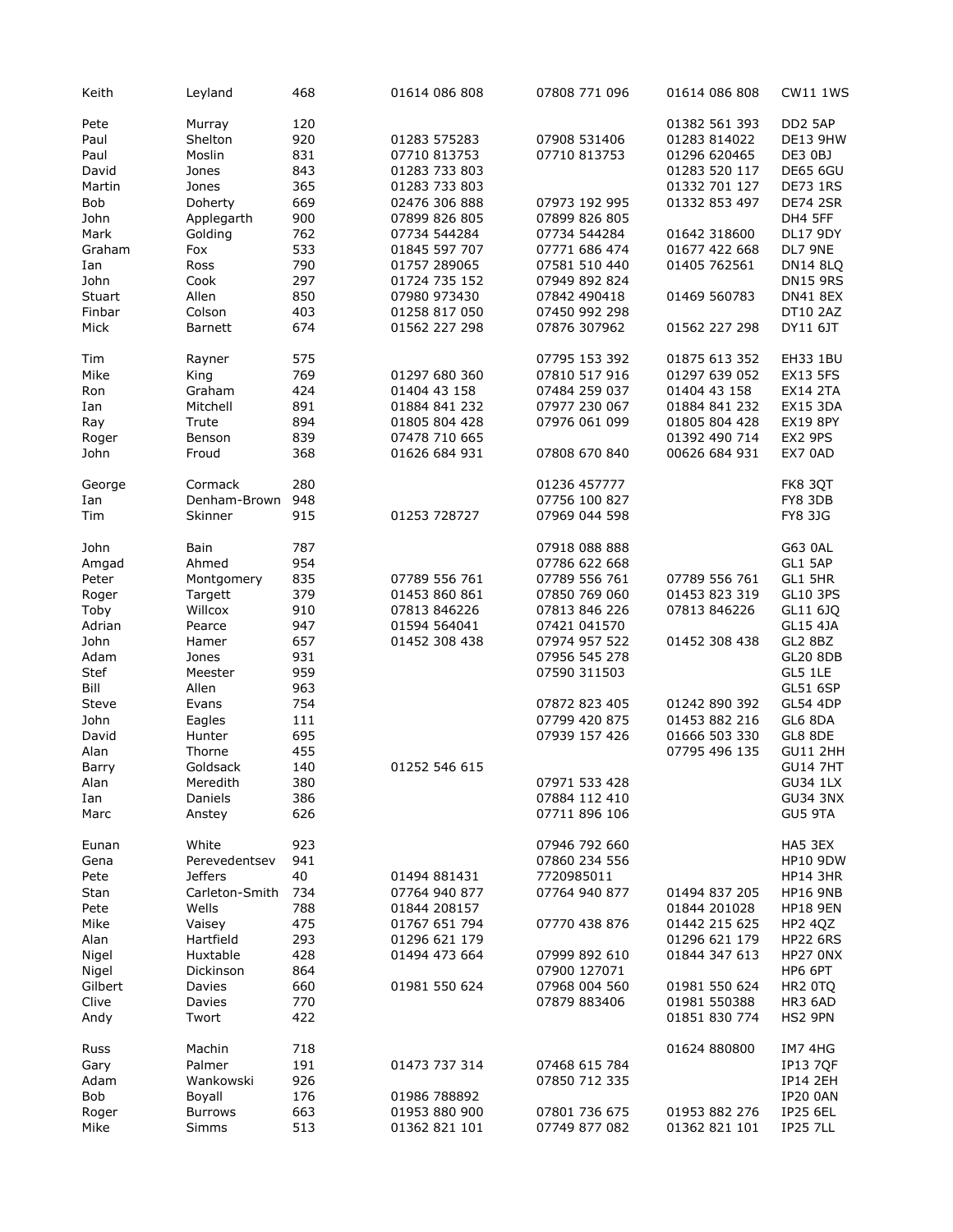| Keith   | Leyland        | 468 | 01614 086 808 | 07808 771 096 | 01614 086 808 | <b>CW11 1WS</b>     |
|---------|----------------|-----|---------------|---------------|---------------|---------------------|
| Pete    | Murray         | 120 |               |               | 01382 561 393 | DD2 5AP             |
| Paul    | Shelton        | 920 | 01283 575283  | 07908 531406  | 01283 814022  | <b>DE13 9HW</b>     |
| Paul    | Moslin         | 831 | 07710 813753  | 07710 813753  | 01296 620465  | DE3 0BJ             |
| David   | Jones          | 843 | 01283 733 803 |               | 01283 520 117 | <b>DE65 6GU</b>     |
| Martin  | Jones          | 365 | 01283 733 803 |               | 01332 701 127 | <b>DE73 1RS</b>     |
| Bob     | Doherty        | 669 | 02476 306 888 | 07973 192 995 | 01332 853 497 | <b>DE74 2SR</b>     |
| John    | Applegarth     | 900 | 07899 826 805 | 07899 826 805 |               | DH4 5FF             |
|         |                |     |               |               |               |                     |
| Mark    | Golding        | 762 | 07734 544284  | 07734 544284  | 01642 318600  | <b>DL17 9DY</b>     |
| Graham  | Fox            | 533 | 01845 597 707 | 07771 686 474 | 01677 422 668 | DL7 9NE             |
| Ian     | Ross           | 790 | 01757 289065  | 07581 510 440 | 01405 762561  | <b>DN14 8LQ</b>     |
| John    | Cook           | 297 | 01724 735 152 | 07949 892 824 |               | <b>DN15 9RS</b>     |
| Stuart  | Allen          | 850 | 07980 973430  | 07842 490418  | 01469 560783  | <b>DN41 8EX</b>     |
| Finbar  | Colson         | 403 | 01258 817 050 | 07450 992 298 |               | <b>DT10 2AZ</b>     |
| Mick    | <b>Barnett</b> | 674 | 01562 227 298 | 07876 307962  | 01562 227 298 | DY11 6JT            |
| Tim     | Rayner         | 575 |               | 07795 153 392 | 01875 613 352 | EH33 1BU            |
| Mike    | King           | 769 | 01297 680 360 | 07810 517 916 | 01297 639 052 | <b>EX13 5FS</b>     |
| Ron     | Graham         | 424 | 01404 43 158  | 07484 259 037 | 01404 43 158  | <b>EX14 2TA</b>     |
| Ian     | Mitchell       | 891 | 01884 841 232 | 07977 230 067 | 01884 841 232 | <b>EX15 3DA</b>     |
| Ray     | Trute          | 894 | 01805 804 428 | 07976 061 099 | 01805 804 428 | <b>EX19 8PY</b>     |
| Roger   | Benson         | 839 | 07478 710 665 |               | 01392 490 714 | EX2 9PS             |
| John    | Froud          | 368 | 01626 684 931 | 07808 670 840 | 00626 684 931 | EX7 0AD             |
|         |                |     |               |               |               |                     |
| George  | Cormack        | 280 |               | 01236 457777  |               | FK8 3QT             |
| Ian     | Denham-Brown   | 948 |               | 07756 100 827 |               | FY8 3DB             |
| Tim     | Skinner        | 915 | 01253 728727  | 07969 044 598 |               | FY8 3JG             |
| John    | Bain           | 787 |               | 07918 088 888 |               | G63 0AL             |
| Amgad   | Ahmed          | 954 |               | 07786 622 668 |               | GL1 5AP             |
| Peter   | Montgomery     | 835 | 07789 556 761 | 07789 556 761 | 07789 556 761 | GL1 5HR             |
| Roger   | Targett        | 379 | 01453 860 861 | 07850 769 060 | 01453 823 319 | GL10 3PS            |
| Toby    | Willcox        | 910 | 07813 846226  | 07813 846 226 | 07813 846226  | GL11 6JQ            |
| Adrian  | Pearce         | 947 | 01594 564041  | 07421 041570  |               | GL15 4JA            |
| John    | Hamer          | 657 | 01452 308 438 | 07974 957 522 | 01452 308 438 | GL2 8BZ             |
| Adam    | Jones          | 931 |               | 07956 545 278 |               | <b>GL20 8DB</b>     |
| Stef    | Meester        | 959 |               | 07590 311503  |               | GL5 1LE             |
| Bill    | Allen          | 963 |               |               |               | <b>GL51 6SP</b>     |
| Steve   |                | 754 |               | 07872 823 405 | 01242 890 392 | <b>GL54 4DP</b>     |
|         | Evans          |     |               |               | 01453 882 216 |                     |
| John    | Eagles         | 111 |               | 07799 420 875 |               | GL6 8DA             |
| David   | Hunter         | 695 |               | 07939 157 426 | 01666 503 330 | GL8 8DE             |
| Alan    | Thorne         | 455 |               |               | 07795 496 135 | <b>GU11 2HH</b>     |
| Barry   | Goldsack       | 140 | 01252 546 615 |               |               | <b>GU14 7HT</b>     |
| Alan    | Meredith       | 380 |               | 07971 533 428 |               | <b>GU34 1LX</b>     |
| Ian     | Daniels        | 386 |               | 07884 112 410 |               | <b>GU34 3NX</b>     |
| Marc    | Anstey         | 626 |               | 07711 896 106 |               | GU5 9TA             |
| Eunan   | White          | 923 |               | 07946 792 660 |               | HA5 3EX             |
| Gena    | Perevedentsev  | 941 |               | 07860 234 556 |               | <b>HP10 9DW</b>     |
| Pete    | <b>Jeffers</b> | 40  | 01494 881431  | 7720985011    |               | <b>HP14 3HR</b>     |
| Stan    | Carleton-Smith | 734 | 07764 940 877 | 07764 940 877 | 01494 837 205 | <b>HP16 9NB</b>     |
| Pete    | Wells          | 788 | 01844 208157  |               | 01844 201028  | <b>HP18 9EN</b>     |
| Mike    | Vaisey         | 475 | 01767 651 794 | 07770 438 876 | 01442 215 625 | HP2 4QZ             |
| Alan    | Hartfield      | 293 | 01296 621 179 |               | 01296 621 179 | <b>HP22 6RS</b>     |
| Nigel   | Huxtable       | 428 | 01494 473 664 | 07999 892 610 | 01844 347 613 | HP27 ONX            |
| Nigel   | Dickinson      | 864 |               | 07900 127071  |               | HP6 6PT             |
| Gilbert | Davies         | 660 | 01981 550 624 | 07968 004 560 | 01981 550 624 | HR <sub>2</sub> OTQ |
| Clive   | Davies         | 770 |               | 07879 883406  | 01981 550388  | HR3 6AD             |
| Andy    | Twort          | 422 |               |               | 01851 830 774 | HS2 9PN             |
| Russ    | Machin         | 718 |               |               | 01624 880800  | IM7 4HG             |
|         | Palmer         | 191 | 01473 737 314 | 07468 615 784 |               | <b>IP13 7QF</b>     |
| Gary    |                |     |               |               |               |                     |
| Adam    | Wankowski      | 926 |               | 07850 712 335 |               | <b>IP14 2EH</b>     |
| Bob     | Boyall         | 176 | 01986 788892  |               |               | <b>IP20 0AN</b>     |
| Roger   | <b>Burrows</b> | 663 | 01953 880 900 | 07801 736 675 | 01953 882 276 | <b>IP25 6EL</b>     |
| Mike    | <b>Simms</b>   | 513 | 01362 821 101 | 07749 877 082 | 01362 821 101 | <b>IP25 7LL</b>     |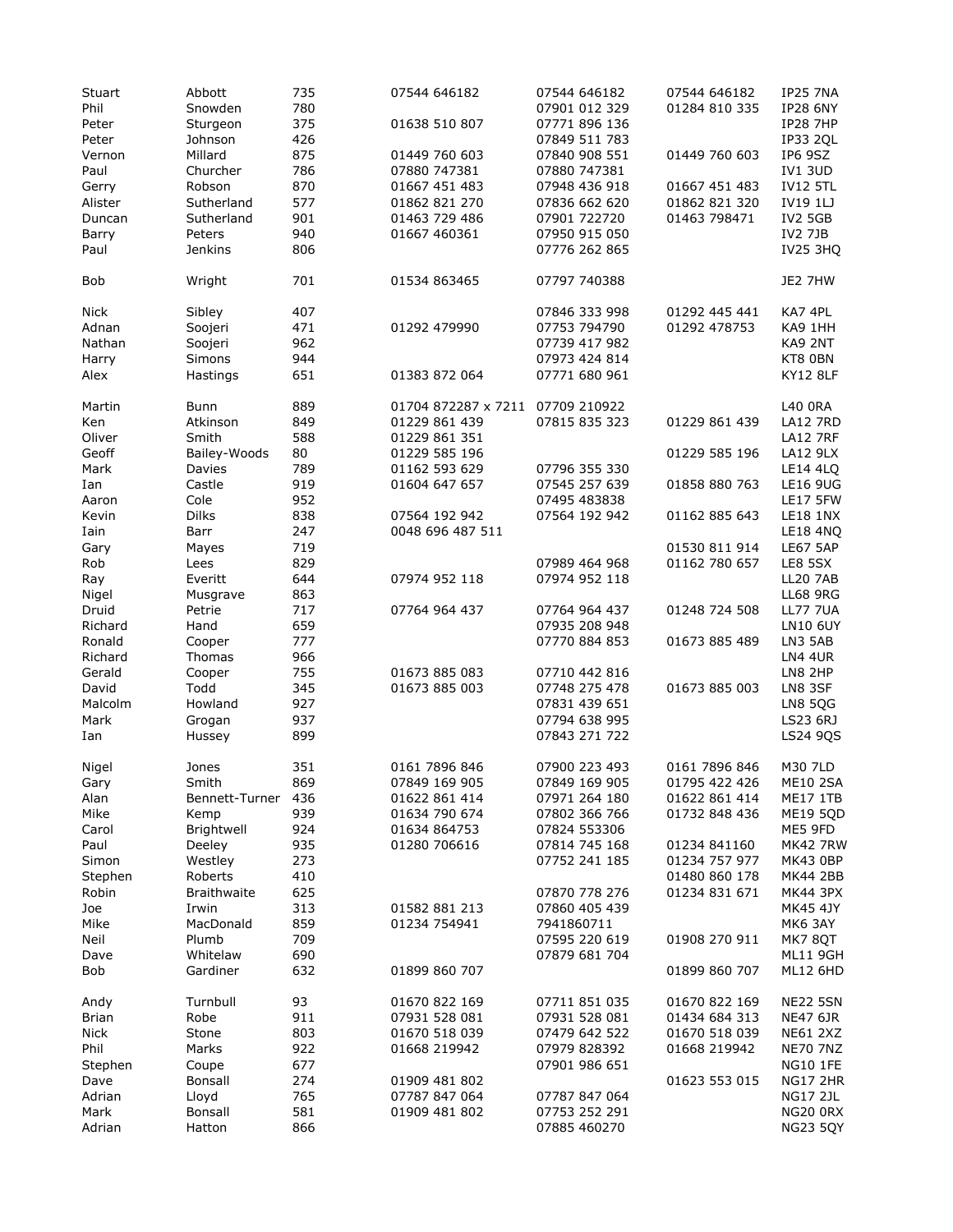| Stuart<br>Phil<br>Peter | Abbott<br>Snowden<br>Sturgeon | 735<br>780<br>375 | 07544 646182<br>01638 510 807  | 07544 646182<br>07901 012 329<br>07771 896 136 | 07544 646182<br>01284 810 335 | <b>IP25 7NA</b><br><b>IP28 6NY</b><br><b>IP28 7HP</b> |
|-------------------------|-------------------------------|-------------------|--------------------------------|------------------------------------------------|-------------------------------|-------------------------------------------------------|
| Peter<br>Vernon         | Johnson<br>Millard            | 426<br>875<br>786 | 01449 760 603<br>07880 747381  | 07849 511 783<br>07840 908 551<br>07880 747381 | 01449 760 603                 | <b>IP33 2QL</b><br>IP6 9SZ                            |
| Paul                    | Churcher                      | 870               | 01667 451 483                  | 07948 436 918                                  |                               | <b>IV1 3UD</b>                                        |
| Gerry                   | Robson                        | 577               |                                |                                                | 01667 451 483                 | <b>IV12 5TL</b><br><b>IV19 1LJ</b>                    |
| Alister<br>Duncan       | Sutherland                    | 901               | 01862 821 270<br>01463 729 486 | 07836 662 620                                  | 01862 821 320<br>01463 798471 | <b>IV2 5GB</b>                                        |
| Barry                   | Sutherland<br>Peters          | 940               | 01667 460361                   | 07901 722720<br>07950 915 050                  |                               | <b>IV2 7JB</b>                                        |
| Paul                    | <b>Jenkins</b>                | 806               |                                | 07776 262 865                                  |                               | <b>IV25 3HQ</b>                                       |
|                         |                               |                   |                                |                                                |                               |                                                       |
| Bob                     | Wright                        | 701               | 01534 863465                   | 07797 740388                                   |                               | JE2 7HW                                               |
| <b>Nick</b>             | Sibley                        | 407               |                                | 07846 333 998                                  | 01292 445 441                 | KA7 4PL                                               |
| Adnan                   | Soojeri                       | 471               | 01292 479990                   | 07753 794790                                   | 01292 478753                  | KA9 1HH                                               |
| Nathan                  | Soojeri                       | 962               |                                | 07739 417 982                                  |                               | KA9 2NT                                               |
| Harry                   | Simons                        | 944               |                                | 07973 424 814                                  |                               | KT8 0BN                                               |
| Alex                    | Hastings                      | 651               | 01383 872 064                  | 07771 680 961                                  |                               | <b>KY12 8LF</b>                                       |
| Martin                  | Bunn                          | 889               | 01704 872287 x 7211            | 07709 210922                                   |                               | L40 0RA                                               |
| Ken                     | Atkinson                      | 849               | 01229 861 439                  | 07815 835 323                                  | 01229 861 439                 | <b>LA12 7RD</b>                                       |
| Oliver                  | Smith                         | 588               | 01229 861 351                  |                                                |                               | <b>LA12 7RF</b>                                       |
| Geoff                   | Bailey-Woods                  | 80                | 01229 585 196                  |                                                | 01229 585 196                 | LA12 9LX                                              |
| Mark                    | Davies                        | 789               | 01162 593 629                  | 07796 355 330                                  |                               | <b>LE14 4LO</b>                                       |
| Ian                     | Castle                        | 919               | 01604 647 657                  | 07545 257 639                                  | 01858 880 763                 | <b>LE16 9UG</b>                                       |
| Aaron                   | Cole                          | 952               |                                | 07495 483838                                   |                               | <b>LE17 5FW</b>                                       |
| Kevin                   | <b>Dilks</b>                  | 838               | 07564 192 942                  | 07564 192 942                                  | 01162 885 643                 | <b>LE18 1NX</b>                                       |
| Iain                    | Barr                          | 247               | 0048 696 487 511               |                                                |                               | <b>LE18 4NQ</b>                                       |
| Gary                    | Mayes                         | 719               |                                |                                                | 01530 811 914                 | <b>LE67 5AP</b>                                       |
| Rob                     | Lees                          | 829               |                                | 07989 464 968                                  | 01162 780 657                 | LE8 5SX                                               |
| Ray                     | Everitt                       | 644               | 07974 952 118                  | 07974 952 118                                  |                               | <b>LL20 7AB</b>                                       |
| Nigel                   | Musgrave                      | 863               |                                |                                                |                               | <b>LL68 9RG</b>                                       |
| Druid                   | Petrie                        | 717               | 07764 964 437                  | 07764 964 437                                  | 01248 724 508                 | <b>LL77 7UA</b>                                       |
| Richard                 | Hand                          | 659               |                                | 07935 208 948                                  |                               | <b>LN10 6UY</b>                                       |
| Ronald                  | Cooper                        | 777               |                                | 07770 884 853                                  | 01673 885 489                 | LN3 5AB                                               |
| Richard                 | Thomas                        | 966               |                                |                                                |                               | LN4 4UR                                               |
| Gerald                  | Cooper                        | 755               | 01673 885 083                  | 07710 442 816                                  |                               | LN8 2HP                                               |
| David                   | Todd                          | 345               | 01673 885 003                  | 07748 275 478                                  | 01673 885 003                 | LN8 3SF                                               |
| Malcolm                 | Howland                       | 927               |                                | 07831 439 651                                  |                               | <b>LN8 5QG</b>                                        |
| Mark                    | Grogan                        | 937               |                                | 07794 638 995                                  |                               | LS23 6RJ                                              |
| Ian                     | Hussey                        | 899               |                                | 07843 271 722                                  |                               | LS24 9QS                                              |
| Nigel                   | Jones                         | 351               | 0161 7896 846                  | 07900 223 493                                  | 0161 7896 846                 | M30 7LD                                               |
| Gary                    | Smith                         | 869               | 07849 169 905                  | 07849 169 905                                  | 01795 422 426                 | <b>ME10 2SA</b>                                       |
| Alan                    | Bennett-Turner                | 436               | 01622 861 414                  | 07971 264 180                                  | 01622 861 414                 | <b>ME17 1TB</b>                                       |
| Mike                    | Kemp                          | 939               | 01634 790 674                  | 07802 366 766                                  | 01732 848 436                 | <b>ME19 5QD</b>                                       |
| Carol                   | Brightwell                    | 924               | 01634 864753                   | 07824 553306                                   |                               | ME5 9FD                                               |
| Paul                    | Deeley                        | 935               | 01280 706616                   | 07814 745 168                                  | 01234 841160                  | <b>MK42 7RW</b>                                       |
| Simon                   | Westley                       | 273               |                                | 07752 241 185                                  | 01234 757 977                 | <b>MK43 0BP</b>                                       |
| Stephen                 | Roberts                       | 410               |                                |                                                | 01480 860 178                 | <b>MK44 2BB</b>                                       |
| Robin                   | <b>Braithwaite</b>            | 625               |                                | 07870 778 276                                  | 01234 831 671                 | <b>MK44 3PX</b>                                       |
| Joe                     | Irwin                         | 313               | 01582 881 213                  | 07860 405 439                                  |                               | MK45 4JY                                              |
| Mike                    | MacDonald                     | 859               | 01234 754941                   | 7941860711                                     |                               | MK6 3AY                                               |
| Neil                    | Plumb                         | 709               |                                | 07595 220 619                                  | 01908 270 911                 | <b>MK7 8QT</b>                                        |
| Dave<br>Bob             | Whitelaw<br>Gardiner          | 690<br>632        | 01899 860 707                  | 07879 681 704                                  | 01899 860 707                 | <b>ML11 9GH</b><br><b>ML12 6HD</b>                    |
|                         |                               |                   |                                |                                                |                               |                                                       |
| Andy                    | Turnbull                      | 93                | 01670 822 169                  | 07711 851 035                                  | 01670 822 169                 | <b>NE22 5SN</b>                                       |
| Brian                   | Robe                          | 911               | 07931 528 081                  | 07931 528 081                                  | 01434 684 313                 | <b>NE47 6JR</b>                                       |
| <b>Nick</b>             | Stone                         | 803               | 01670 518 039                  | 07479 642 522                                  | 01670 518 039                 | <b>NE61 2XZ</b>                                       |
| Phil                    | Marks                         | 922               | 01668 219942                   | 07979 828392                                   | 01668 219942                  | <b>NE70 7NZ</b>                                       |
| Stephen                 | Coupe                         | 677               |                                | 07901 986 651                                  |                               | <b>NG10 1FE</b>                                       |
| Dave                    | Bonsall                       | 274               | 01909 481 802                  |                                                | 01623 553 015                 | <b>NG17 2HR</b>                                       |
| Adrian                  | Lloyd                         | 765               | 07787 847 064                  | 07787 847 064                                  |                               | <b>NG17 2JL</b>                                       |
| Mark                    | Bonsall                       | 581               | 01909 481 802                  | 07753 252 291                                  |                               | <b>NG20 0RX</b>                                       |
| Adrian                  | Hatton                        | 866               |                                | 07885 460270                                   |                               | <b>NG23 5QY</b>                                       |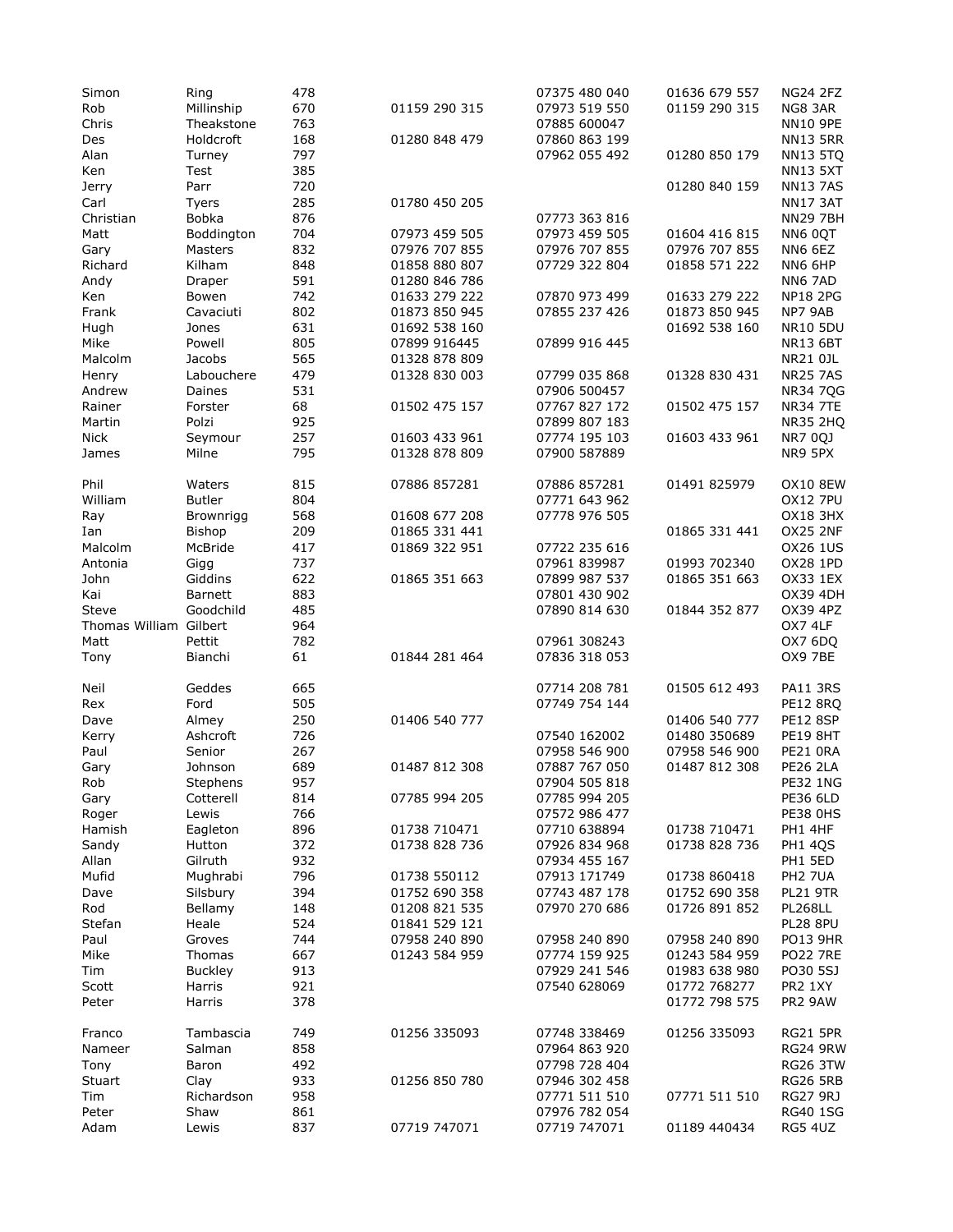| Simon                  | Ring             | 478        |               | 07375 480 040                 | 01636 679 557 | <b>NG24 2FZ</b>            |
|------------------------|------------------|------------|---------------|-------------------------------|---------------|----------------------------|
| Rob                    | Millinship       | 670        | 01159 290 315 | 07973 519 550                 | 01159 290 315 | NG8 3AR                    |
| Chris                  | Theakstone       | 763        |               | 07885 600047                  |               | <b>NN10 9PE</b>            |
| Des                    | Holdcroft        | 168        | 01280 848 479 | 07860 863 199                 |               | <b>NN13 5RR</b>            |
| Alan                   | Turney           | 797        |               | 07962 055 492                 | 01280 850 179 | <b>NN13 5TQ</b>            |
| Ken                    | Test             | 385        |               |                               |               | <b>NN13 5XT</b>            |
|                        |                  |            |               |                               |               |                            |
| Jerry                  | Parr             | 720        |               |                               | 01280 840 159 | <b>NN137AS</b>             |
| Carl                   | Tyers            | 285        | 01780 450 205 |                               |               | <b>NN17 3AT</b>            |
| Christian              | <b>Bobka</b>     | 876        |               | 07773 363 816                 |               | <b>NN29 7BH</b>            |
| Matt                   | Boddington       | 704        | 07973 459 505 | 07973 459 505                 | 01604 416 815 | NN6 0QT                    |
| Gary                   | Masters          | 832        | 07976 707 855 | 07976 707 855                 | 07976 707 855 | NN6 6EZ                    |
| Richard                | Kilham           | 848        | 01858 880 807 | 07729 322 804                 | 01858 571 222 | NN6 6HP                    |
| Andy                   | Draper           | 591        | 01280 846 786 |                               |               | NN6 7AD                    |
|                        | Bowen            | 742        | 01633 279 222 | 07870 973 499                 | 01633 279 222 | <b>NP18 2PG</b>            |
| Ken                    |                  |            |               |                               |               |                            |
| Frank                  | Cavaciuti        | 802        | 01873 850 945 | 07855 237 426                 | 01873 850 945 | NP7 9AB                    |
| Hugh                   | Jones            | 631        | 01692 538 160 |                               | 01692 538 160 | <b>NR10 5DU</b>            |
| Mike                   | Powell           | 805        | 07899 916445  | 07899 916 445                 |               | <b>NR13 6BT</b>            |
| Malcolm                | Jacobs           | 565        | 01328 878 809 |                               |               | NR21 0JL                   |
| Henry                  | Labouchere       | 479        | 01328 830 003 | 07799 035 868                 | 01328 830 431 | <b>NR25 7AS</b>            |
| Andrew                 | Daines           | 531        |               | 07906 500457                  |               | <b>NR34 7QG</b>            |
| Rainer                 | Forster          | 68         | 01502 475 157 | 07767 827 172                 | 01502 475 157 | <b>NR34 7TE</b>            |
|                        | Polzi            | 925        |               | 07899 807 183                 |               |                            |
| Martin                 |                  |            |               |                               |               | <b>NR35 2HQ</b>            |
| Nick                   | Seymour          | 257        | 01603 433 961 | 07774 195 103                 | 01603 433 961 | <b>NR7 0QJ</b>             |
| James                  | Milne            | 795        | 01328 878 809 | 07900 587889                  |               | NR9 5PX                    |
|                        |                  | 815        |               | 07886 857281                  |               | <b>OX10 8EW</b>            |
| Phil                   | Waters           |            | 07886 857281  |                               | 01491 825979  |                            |
| William                | <b>Butler</b>    | 804        |               | 07771 643 962                 |               | <b>OX12 7PU</b>            |
| Ray                    | <b>Brownrigg</b> | 568        | 01608 677 208 | 07778 976 505                 |               | <b>OX18 3HX</b>            |
| Ian                    | Bishop           | 209        | 01865 331 441 |                               | 01865 331 441 | <b>OX25 2NF</b>            |
| Malcolm                | McBride          | 417        | 01869 322 951 | 07722 235 616                 |               | OX26 1US                   |
| Antonia                | Gigg             | 737        |               | 07961 839987                  | 01993 702340  | <b>OX28 1PD</b>            |
| John                   | Giddins          | 622        | 01865 351 663 | 07899 987 537                 | 01865 351 663 | OX33 1EX                   |
| Kai                    | <b>Barnett</b>   | 883        |               | 07801 430 902                 |               | <b>OX39 4DH</b>            |
|                        |                  |            |               |                               |               |                            |
| Steve                  | Goodchild        | 485        |               | 07890 814 630                 | 01844 352 877 | OX39 4PZ                   |
| Thomas William Gilbert |                  | 964        |               |                               |               | OX7 4LF                    |
| Matt                   | Pettit           | 782        |               | 07961 308243                  |               | OX7 6DQ                    |
| Tony                   | Bianchi          | 61         | 01844 281 464 | 07836 318 053                 |               | OX9 7BE                    |
|                        |                  |            |               |                               |               |                            |
| Neil                   | Geddes           | 665        |               | 07714 208 781                 | 01505 612 493 | <b>PA11 3RS</b>            |
| Rex                    | Ford             | 505        |               | 07749 754 144                 |               | <b>PE12 8RQ</b>            |
| Dave                   | Almey            | 250        | 01406 540 777 |                               | 01406 540 777 | <b>PE12 8SP</b>            |
| Kerry                  | Ashcroft         | 726        |               | 07540 162002                  | 01480 350689  | <b>PE19 8HT</b>            |
| Paul                   | Senior           | 267        |               | 07958 546 900                 | 07958 546 900 | PE21 ORA                   |
| Gary                   | Johnson          | 689        | 01487 812 308 | 07887 767 050                 | 01487 812 308 | <b>PE26 2LA</b>            |
|                        |                  |            |               |                               |               | <b>PE32 1NG</b>            |
| Rob                    | Stephens         | 957        |               | 07904 505 818                 |               |                            |
| Gary                   | Cotterell        | 814        | 07785 994 205 | 07785 994 205                 |               | PE36 6LD                   |
| Roger                  | Lewis            | 766        |               | 07572 986 477                 |               | <b>PE38 0HS</b>            |
| Hamish                 | Eagleton         | 896        | 01738 710471  | 07710 638894                  | 01738 710471  | PH1 4HF                    |
| Sandy                  | Hutton           | 372        | 01738 828 736 | 07926 834 968                 | 01738 828 736 | <b>PH1 4QS</b>             |
| Allan                  | Gilruth          | 932        |               | 07934 455 167                 |               | PH1 5ED                    |
| Mufid                  |                  |            |               |                               |               |                            |
| Dave                   |                  |            |               |                               |               |                            |
|                        | Mughrabi         | 796        | 01738 550112  | 07913 171749                  | 01738 860418  | PH2 7UA                    |
|                        | Silsbury         | 394        | 01752 690 358 | 07743 487 178                 | 01752 690 358 | <b>PL21 9TR</b>            |
| Rod                    | Bellamy          | 148        | 01208 821 535 | 07970 270 686                 | 01726 891 852 | <b>PL268LL</b>             |
| Stefan                 | Heale            | 524        | 01841 529 121 |                               |               | PL28 8PU                   |
| Paul                   | Groves           | 744        | 07958 240 890 | 07958 240 890                 | 07958 240 890 | <b>PO13 9HR</b>            |
| Mike                   | Thomas           | 667        | 01243 584 959 | 07774 159 925                 | 01243 584 959 | <b>PO22 7RE</b>            |
| Tim                    |                  | 913        |               | 07929 241 546                 | 01983 638 980 | PO30 5SJ                   |
|                        | <b>Buckley</b>   |            |               |                               |               |                            |
| Scott<br>Peter         | Harris<br>Harris | 921        |               | 07540 628069                  | 01772 768277  | PR2 1XY                    |
|                        |                  | 378        |               |                               | 01772 798 575 | PR2 9AW                    |
| Franco                 | Tambascia        | 749        | 01256 335093  | 07748 338469                  | 01256 335093  | <b>RG21 5PR</b>            |
| Nameer                 | Salman           | 858        |               | 07964 863 920                 |               | <b>RG24 9RW</b>            |
|                        |                  |            |               |                               |               |                            |
| Tony                   | Baron            | 492        |               | 07798 728 404                 |               | <b>RG26 3TW</b>            |
| Stuart                 | Clay             | 933        | 01256 850 780 | 07946 302 458                 |               | <b>RG26 5RB</b>            |
| Tim                    | Richardson       | 958        |               | 07771 511 510                 | 07771 511 510 | <b>RG27 9RJ</b>            |
| Peter<br>Adam          | Shaw<br>Lewis    | 861<br>837 | 07719 747071  | 07976 782 054<br>07719 747071 | 01189 440434  | <b>RG40 1SG</b><br>RG5 4UZ |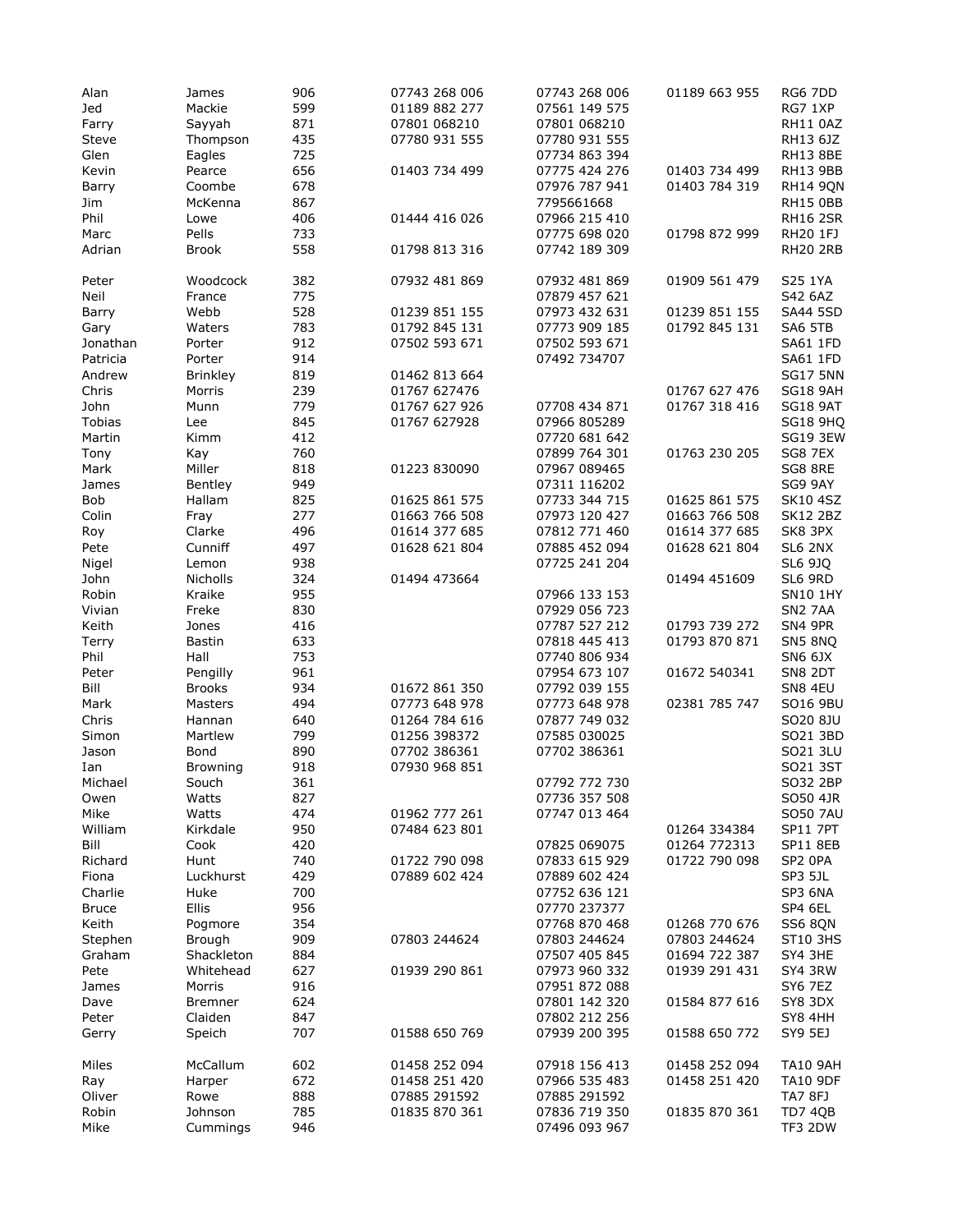| Alan          | James           | 906 | 07743 268 006 | 07743 268 006 | 01189 663 955 | RG6 7DD         |
|---------------|-----------------|-----|---------------|---------------|---------------|-----------------|
|               |                 | 599 |               | 07561 149 575 |               |                 |
| Jed           | Mackie          |     | 01189 882 277 |               |               | RG7 1XP         |
| Farry         | Sayyah          | 871 | 07801 068210  | 07801 068210  |               | RH11 0AZ        |
| Steve         | Thompson        | 435 | 07780 931 555 | 07780 931 555 |               | RH13 6JZ        |
| Glen          | Eagles          | 725 |               | 07734 863 394 |               | <b>RH13 8BE</b> |
| Kevin         | Pearce          | 656 | 01403 734 499 | 07775 424 276 | 01403 734 499 | RH13 9BB        |
|               |                 |     |               |               |               |                 |
| Barry         | Coombe          | 678 |               | 07976 787 941 | 01403 784 319 | <b>RH14 9QN</b> |
| Jim           | McKenna         | 867 |               | 7795661668    |               | <b>RH15 0BB</b> |
| Phil          | Lowe            | 406 | 01444 416 026 | 07966 215 410 |               | <b>RH16 2SR</b> |
| Marc          | Pells           | 733 |               | 07775 698 020 | 01798 872 999 | RH20 1FJ        |
|               |                 |     |               |               |               |                 |
| Adrian        | <b>Brook</b>    | 558 | 01798 813 316 | 07742 189 309 |               | <b>RH20 2RB</b> |
| Peter         | Woodcock        | 382 | 07932 481 869 | 07932 481 869 | 01909 561 479 | S25 1YA         |
|               |                 |     |               | 07879 457 621 |               |                 |
| Neil          | France          | 775 |               |               |               | S42 6AZ         |
| Barry         | Webb            | 528 | 01239 851 155 | 07973 432 631 | 01239 851 155 | <b>SA44 5SD</b> |
| Gary          | Waters          | 783 | 01792 845 131 | 07773 909 185 | 01792 845 131 | SA6 5TB         |
| Jonathan      | Porter          | 912 | 07502 593 671 | 07502 593 671 |               | SA61 1FD        |
| Patricia      | Porter          | 914 |               | 07492 734707  |               | SA61 1FD        |
|               |                 |     |               |               |               |                 |
| Andrew        | <b>Brinkley</b> | 819 | 01462 813 664 |               |               | <b>SG17 5NN</b> |
| Chris         | Morris          | 239 | 01767 627476  |               | 01767 627 476 | <b>SG18 9AH</b> |
| John          | Munn            | 779 | 01767 627 926 | 07708 434 871 | 01767 318 416 | <b>SG18 9AT</b> |
| <b>Tobias</b> | Lee             | 845 | 01767 627928  | 07966 805289  |               | <b>SG18 9HO</b> |
| Martin        | Kimm            | 412 |               | 07720 681 642 |               | <b>SG19 3EW</b> |
|               |                 |     |               |               |               |                 |
| Tony          | Kay             | 760 |               | 07899 764 301 | 01763 230 205 | <b>SG8 7EX</b>  |
| Mark          | Miller          | 818 | 01223 830090  | 07967 089465  |               | SG8 8RE         |
| James         | Bentley         | 949 |               | 07311 116202  |               | SG9 9AY         |
| Bob           | Hallam          | 825 | 01625 861 575 | 07733 344 715 | 01625 861 575 | <b>SK10 4SZ</b> |
|               |                 |     |               |               |               |                 |
| Colin         | Fray            | 277 | 01663 766 508 | 07973 120 427 | 01663 766 508 | <b>SK12 2BZ</b> |
| Roy           | Clarke          | 496 | 01614 377 685 | 07812 771 460 | 01614 377 685 | SK8 3PX         |
| Pete          | Cunniff         | 497 | 01628 621 804 | 07885 452 094 | 01628 621 804 | <b>SL6 2NX</b>  |
| Nigel         | Lemon           | 938 |               | 07725 241 204 |               | SL6 9JQ         |
|               |                 |     |               |               |               |                 |
| John          | <b>Nicholls</b> | 324 | 01494 473664  |               | 01494 451609  | SL6 9RD         |
| Robin         | Kraike          | 955 |               | 07966 133 153 |               | <b>SN10 1HY</b> |
| Vivian        | Freke           | 830 |               | 07929 056 723 |               | <b>SN2 7AA</b>  |
| Keith         | Jones           | 416 |               | 07787 527 212 | 01793 739 272 | SN4 9PR         |
| <b>Terry</b>  | Bastin          | 633 |               | 07818 445 413 | 01793 870 871 | SN5 8NQ         |
|               |                 |     |               |               |               |                 |
| Phil          | Hall            | 753 |               | 07740 806 934 |               | <b>SN6 6JX</b>  |
| Peter         | Pengilly        | 961 |               | 07954 673 107 | 01672 540341  | <b>SN8 2DT</b>  |
| Bill          | <b>Brooks</b>   | 934 | 01672 861 350 | 07792 039 155 |               | SN8 4EU         |
| Mark          | Masters         | 494 | 07773 648 978 | 07773 648 978 | 02381 785 747 | SO16 9BU        |
| Chris         |                 | 640 | 01264 784 616 | 07877 749 032 |               | SO20 8JU        |
|               | Hannan          |     |               |               |               |                 |
| Simon         | Martlew         | 799 | 01256 398372  | 07585 030025  |               | SO21 3BD        |
| Jason         | Bond            | 890 | 07702 386361  | 07702 386361  |               | SO21 3LU        |
| Ian           | <b>Browning</b> | 918 | 07930 968 851 |               |               | SO21 3ST        |
| Michael       | Souch           | 361 |               | 07792 772 730 |               | SO32 2BP        |
|               |                 |     |               |               |               |                 |
| Owen          | Watts           | 827 |               | 07736 357 508 |               | SO50 4JR        |
| Mike          | Watts           | 474 | 01962 777 261 | 07747 013 464 |               | <b>SO50 7AU</b> |
| William       | Kirkdale        | 950 | 07484 623 801 |               | 01264 334384  | <b>SP11 7PT</b> |
| Bill          | Cook            | 420 |               | 07825 069075  | 01264 772313  | <b>SP11 8EB</b> |
|               |                 |     | 01722 790 098 |               | 01722 790 098 |                 |
| Richard       | Hunt            | 740 |               | 07833 615 929 |               | SP2 OPA         |
| Fiona         | Luckhurst       | 429 | 07889 602 424 | 07889 602 424 |               | SP3 5JL         |
| Charlie       | Huke            | 700 |               | 07752 636 121 |               | SP3 6NA         |
| <b>Bruce</b>  | Ellis           | 956 |               | 07770 237377  |               | SP4 6EL         |
| Keith         | Pogmore         | 354 |               | 07768 870 468 | 01268 770 676 | <b>SS6 8ON</b>  |
|               |                 |     |               |               |               |                 |
| Stephen       | Brough          | 909 | 07803 244624  | 07803 244624  | 07803 244624  | <b>ST10 3HS</b> |
| Graham        | Shackleton      | 884 |               | 07507 405 845 | 01694 722 387 | SY4 3HE         |
| Pete          | Whitehead       | 627 | 01939 290 861 | 07973 960 332 | 01939 291 431 | SY4 3RW         |
| James         | Morris          | 916 |               | 07951 872 088 |               | SY6 7EZ         |
|               |                 |     |               |               |               |                 |
| Dave          | <b>Bremner</b>  | 624 |               | 07801 142 320 | 01584 877 616 | SY8 3DX         |
| Peter         | Claiden         | 847 |               | 07802 212 256 |               | SY8 4HH         |
| Gerry         | Speich          | 707 | 01588 650 769 | 07939 200 395 | 01588 650 772 | SY9 5EJ         |
|               |                 |     |               |               |               |                 |
| Miles         | McCallum        | 602 | 01458 252 094 | 07918 156 413 | 01458 252 094 | <b>TA10 9AH</b> |
| Ray           | Harper          | 672 | 01458 251 420 | 07966 535 483 | 01458 251 420 | <b>TA10 9DF</b> |
| Oliver        | Rowe            | 888 | 07885 291592  | 07885 291592  |               | TA7 8FJ         |
| Robin         | Johnson         | 785 | 01835 870 361 | 07836 719 350 | 01835 870 361 | TD7 4QB         |
| Mike          |                 | 946 |               | 07496 093 967 |               | TF3 2DW         |
|               | Cummings        |     |               |               |               |                 |